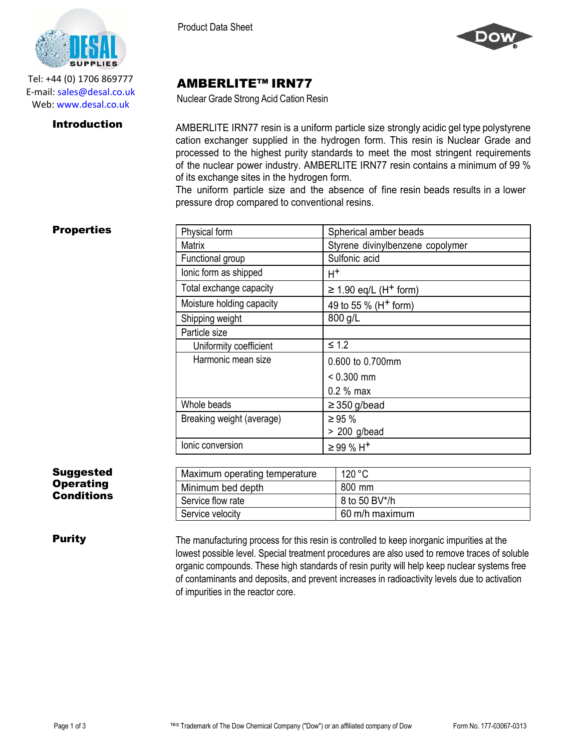

Tel: +44 (0) 1706 869777 E‐mail: sales@desal.co.uk Web: www.desal.co.uk

Product Data Sheet



## AMBERLITE™ IRN77

Nuclear Grade Strong Acid Cation Resin

**Introduction** AMBERLITE IRN77 resin is a uniform particle size strongly acidic gel type polystyrene cation exchanger supplied in the hydrogen form. This resin is Nuclear Grade and processed to the highest purity standards to meet the most stringent requirements of the nuclear power industry. AMBERLITE IRN77 resin contains a minimum of 99 % of its exchange sites in the hydrogen form.

> The uniform particle size and the absence of fine resin beads results in a lower pressure drop compared to conventional resins.

## **Properties**

| Physical form             | Spherical amber beads                  |  |  |
|---------------------------|----------------------------------------|--|--|
| Matrix                    | Styrene divinylbenzene copolymer       |  |  |
| Functional group          | Sulfonic acid                          |  |  |
| lonic form as shipped     | $H^+$                                  |  |  |
| Total exchange capacity   | $\geq$ 1.90 eq/L (H <sup>+</sup> form) |  |  |
| Moisture holding capacity | 49 to 55 % (H <sup>+</sup> form)       |  |  |
| Shipping weight           | 800 g/L                                |  |  |
| Particle size             |                                        |  |  |
| Uniformity coefficient    | $\leq 1.2$                             |  |  |
| Harmonic mean size        | 0.600 to 0.700mm                       |  |  |
|                           | $< 0.300$ mm                           |  |  |
|                           | $0.2 %$ max                            |  |  |
| Whole beads               | $\geq$ 350 g/bead                      |  |  |
| Breaking weight (average) | $\geq 95 \%$                           |  |  |
|                           | $> 200$ g/bead                         |  |  |
| lonic conversion          | $\geq$ 99 % H <sup>+</sup>             |  |  |

## Suggested **Operating Conditions**

| Maximum operating temperature | 120 °C         |
|-------------------------------|----------------|
| Minimum bed depth             | 800 mm         |
| Service flow rate             | 8 to 50 BV*/h  |
| Service velocity              | 60 m/h maximum |

**Purity** The manufacturing process for this resin is controlled to keep inorganic impurities at the lowest possible level. Special treatment procedures are also used to remove traces of soluble organic compounds. These high standards of resin purity will help keep nuclear systems free of contaminants and deposits, and prevent increases in radioactivity levels due to activation of impurities in the reactor core.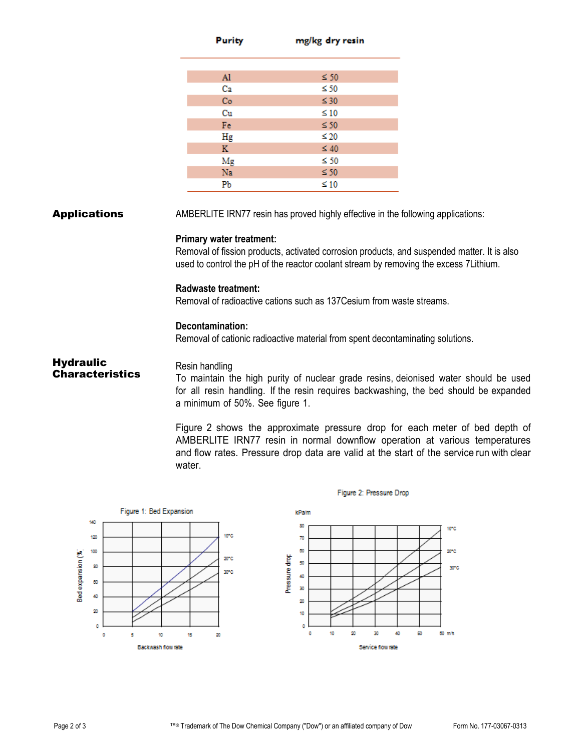|                                                          | Purity                                                                                                                                 | mg/kg dry resin                                                                                                                                         |                                                                                                                                                                                                                                                                                                                                                                      |
|----------------------------------------------------------|----------------------------------------------------------------------------------------------------------------------------------------|---------------------------------------------------------------------------------------------------------------------------------------------------------|----------------------------------------------------------------------------------------------------------------------------------------------------------------------------------------------------------------------------------------------------------------------------------------------------------------------------------------------------------------------|
|                                                          | Al                                                                                                                                     | $\leq 50$                                                                                                                                               |                                                                                                                                                                                                                                                                                                                                                                      |
|                                                          | Ca                                                                                                                                     | $\leq 50$                                                                                                                                               |                                                                                                                                                                                                                                                                                                                                                                      |
|                                                          | Co                                                                                                                                     | $\leq 30$                                                                                                                                               |                                                                                                                                                                                                                                                                                                                                                                      |
|                                                          | Cu<br>Fe                                                                                                                               | $\leq 10$<br>$\leq 50$                                                                                                                                  |                                                                                                                                                                                                                                                                                                                                                                      |
|                                                          | Hg                                                                                                                                     | $\leq 20$                                                                                                                                               |                                                                                                                                                                                                                                                                                                                                                                      |
|                                                          | K                                                                                                                                      | $\leq 40$                                                                                                                                               |                                                                                                                                                                                                                                                                                                                                                                      |
|                                                          | Mg                                                                                                                                     | $\leq 50$                                                                                                                                               |                                                                                                                                                                                                                                                                                                                                                                      |
|                                                          | Na                                                                                                                                     | $\leq 50$                                                                                                                                               |                                                                                                                                                                                                                                                                                                                                                                      |
|                                                          | Pb                                                                                                                                     | $\leq 10$                                                                                                                                               |                                                                                                                                                                                                                                                                                                                                                                      |
| <b>Hydraulic</b><br><b>Characteristics</b>               | <b>Primary water treatment:</b><br><b>Radwaste treatment:</b><br>Decontamination:<br>Resin handling<br>a minimum of 50%. See figure 1. | Removal of radioactive cations such as 137 Cesium from waste streams.<br>Removal of cationic radioactive material from spent decontaminating solutions. | Removal of fission products, activated corrosion products, and suspended matter. It is also<br>used to control the pH of the reactor coolant stream by removing the excess 7Lithium.<br>To maintain the high purity of nuclear grade resins, deionised water should be used<br>for all resin handling. If the resin requires backwashing, the bed should be expanded |
|                                                          | water.                                                                                                                                 |                                                                                                                                                         | Figure 2 shows the approximate pressure drop for each meter of bed depth of<br>AMBERLITE IRN77 resin in normal downflow operation at various temperatures<br>and flow rates. Pressure drop data are valid at the start of the service run with clear                                                                                                                 |
|                                                          |                                                                                                                                        | Figure 2: Pressure Drop                                                                                                                                 |                                                                                                                                                                                                                                                                                                                                                                      |
| Figure 1: Bed Expansion                                  |                                                                                                                                        | kPalm                                                                                                                                                   |                                                                                                                                                                                                                                                                                                                                                                      |
| 140<br>120<br>100<br>Bed expansion (%)<br>80<br>60<br>40 | 10°C<br>20°C<br>30°C                                                                                                                   | 80<br>70<br>60<br>Pressure drop<br>50<br>40<br>30<br>20                                                                                                 | 10°C<br>20°C<br>30°C                                                                                                                                                                                                                                                                                                                                                 |

20

 $\pmb{\text{10}}$ 

ō  $\mathfrak o$ 

 $10<sub>10</sub>$ 

20

30

Service flow rate

 $\delta \bar{0}$ 

50

60 m/h

20

 $\mathfrak o$